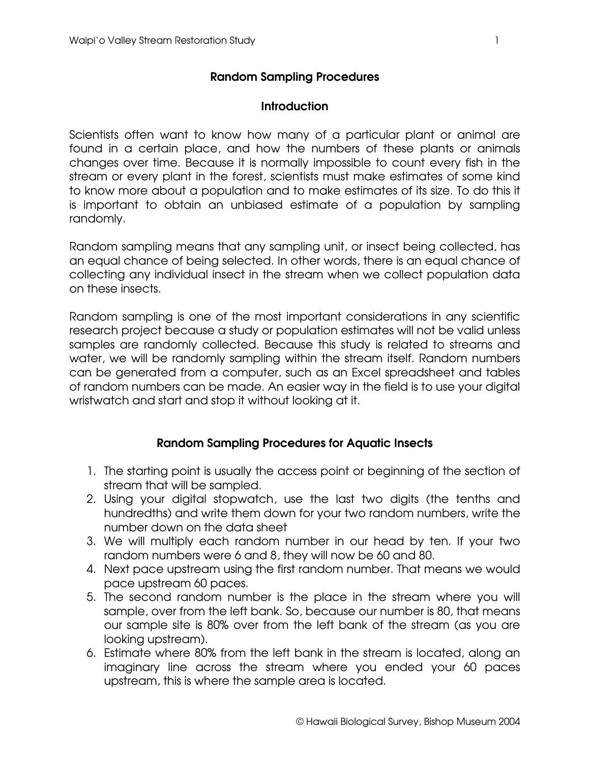## **Random Sampling Procedures**

## **Introduction**

Scientists often want to know how many of a particular plant or animal are found in a certain place, and how the numbers of these plants or animals changes over time. Because it is normally impossible to count every fish in the stream or every plant in the forest, scientists must make estimates of some kind to know more about a population and to make estimates of its size. To do this it is important to obtain an unbiased estimate of a population by sampling randomly.

Random sampling means that any sampling unit, or insect being collected, has an equal chance of being selected. In other words, there is an equal chance of collecting any individual insect in the stream when we collect population data on these insects.

Random sampling is one of the most important considerations in any scientific research project because a study or population estimates will not be valid unless samples are randomly collected. Because this study is related to streams and water, we will be randomly sampling within the stream itself. Random numbers can be generated from a computer, such as an Excel spreadsheet and tables of random numbers can be made. An easier way in the field is to use your digital wristwatch and start and stop it without looking at it.

## **Random Sampling Procedures for Aquatic Insects**

- 1. The starting point is usually the access point or beginning of the section of stream that will be sampled.
- 2. Using your digital stopwatch, use the last two digits (the tenths and hundredths) and write them down for your two random numbers, write the number down on the data sheet
- 3. We will multiply each random number in our head by ten. If your two random numbers were 6 and 8, they will now be 60 and 80.
- 4. Next pace upstream using the first random number. That means we would pace upstream 60 paces.
- 5. The second random number is the place in the stream where you will sample, over from the left bank. So, because our number is 80, that means our sample site is 80% over from the left bank of the stream (as you are looking upstream).
- 6. Estimate where 80% from the left bank in the stream is located, along an imaginary line across the stream where you ended your 60 paces upstream, this is where the sample area is located.